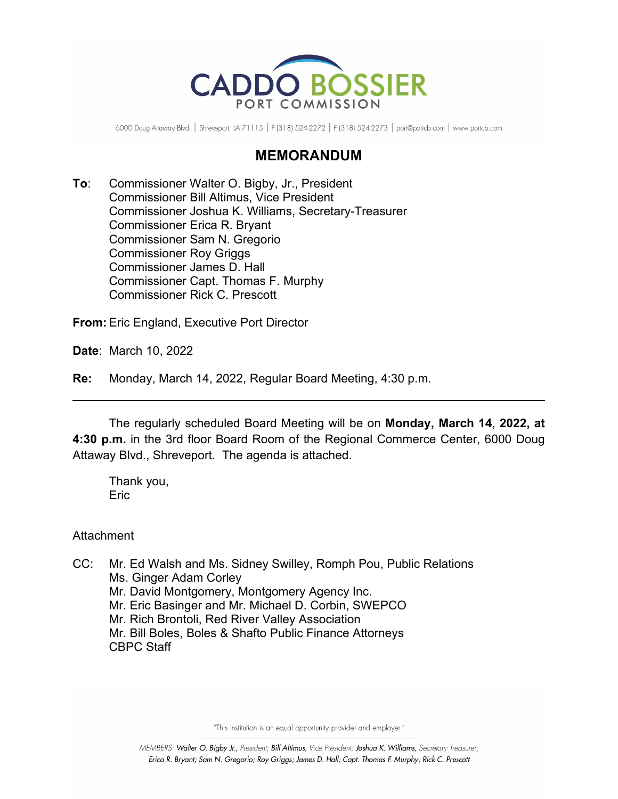

6000 Doug Attaway Blvd. | Shreveport, LA 71115 | P (318) 524-2272 | F (318) 524-2273 | port@portcb.com | www.portcb.com

## **MEMORANDUM**

**To**: Commissioner Walter O. Bigby, Jr., President Commissioner Bill Altimus, Vice President Commissioner Joshua K. Williams, Secretary-Treasurer Commissioner Erica R. Bryant Commissioner Sam N. Gregorio Commissioner Roy Griggs Commissioner James D. Hall Commissioner Capt. Thomas F. Murphy Commissioner Rick C. Prescott

**From:** Eric England, Executive Port Director

**Date**: March 10, 2022

**Re:** Monday, March 14, 2022, Regular Board Meeting, 4:30 p.m.

The regularly scheduled Board Meeting will be on **Monday, March 14**, **2022, at 4:30 p.m.** in the 3rd floor Board Room of the Regional Commerce Center, 6000 Doug Attaway Blvd., Shreveport. The agenda is attached.

Thank you, **Eric** 

Attachment

CC: Mr. Ed Walsh and Ms. Sidney Swilley, Romph Pou, Public Relations Ms. Ginger Adam Corley Mr. David Montgomery, Montgomery Agency Inc. Mr. Eric Basinger and Mr. Michael D. Corbin, SWEPCO Mr. Rich Brontoli, Red River Valley Association Mr. Bill Boles, Boles & Shafto Public Finance Attorneys CBPC Staff

"This institution is an equal opportunity provider and employer."